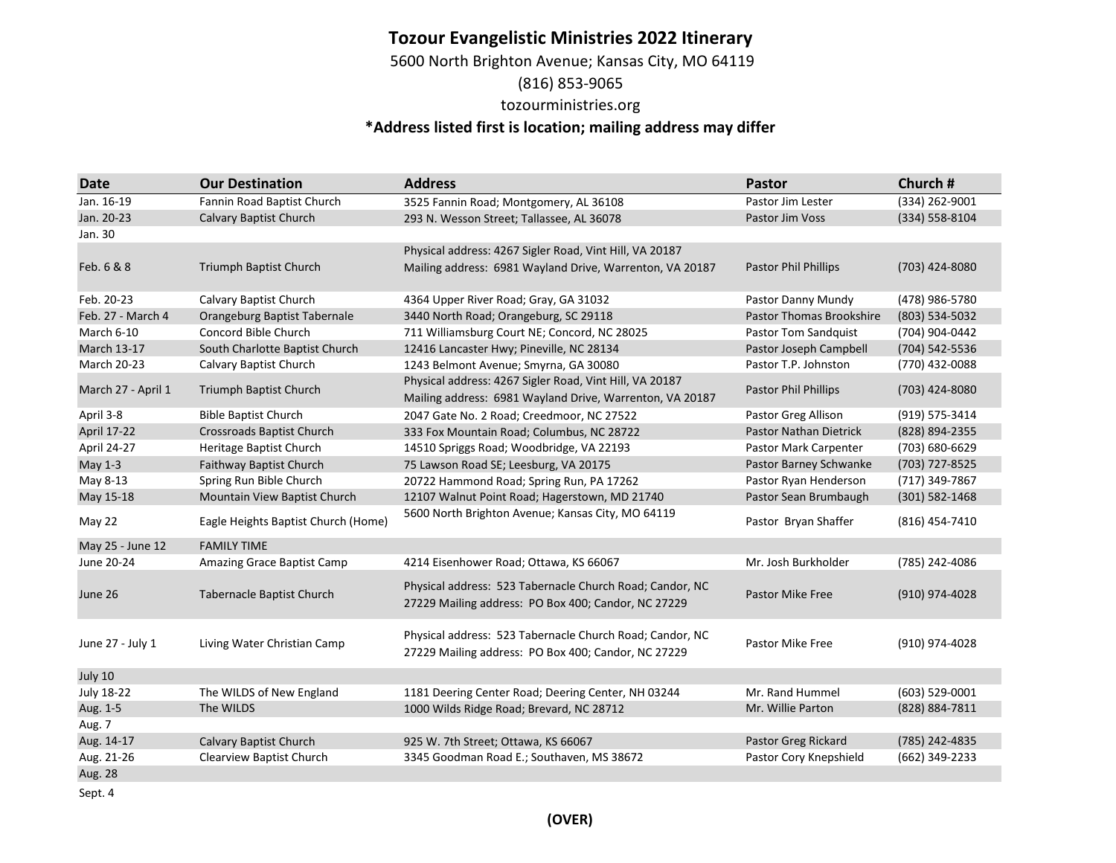### **Tozour Evangelistic Ministries 2022 Itinerary**

5600 North Brighton Avenue; Kansas City, MO 64119

### (816) 853-9065

### tozourministries.org

# **\*Address listed first is location; mailing address may differ**

| Date               | <b>Our Destination</b>              | <b>Address</b>                                                                                                      | <b>Pastor</b>                   | Church #       |
|--------------------|-------------------------------------|---------------------------------------------------------------------------------------------------------------------|---------------------------------|----------------|
| Jan. 16-19         | Fannin Road Baptist Church          | 3525 Fannin Road; Montgomery, AL 36108                                                                              | Pastor Jim Lester               | (334) 262-9001 |
| Jan. 20-23         | Calvary Baptist Church              | 293 N. Wesson Street; Tallassee, AL 36078                                                                           | Pastor Jim Voss                 | (334) 558-8104 |
| Jan. 30            |                                     |                                                                                                                     |                                 |                |
|                    |                                     | Physical address: 4267 Sigler Road, Vint Hill, VA 20187                                                             |                                 |                |
| Feb. 6 & 8         | Triumph Baptist Church              | Mailing address: 6981 Wayland Drive, Warrenton, VA 20187                                                            | Pastor Phil Phillips            | (703) 424-8080 |
| Feb. 20-23         | Calvary Baptist Church              | 4364 Upper River Road; Gray, GA 31032                                                                               | Pastor Danny Mundy              | (478) 986-5780 |
| Feb. 27 - March 4  | Orangeburg Baptist Tabernale        | 3440 North Road; Orangeburg, SC 29118                                                                               | <b>Pastor Thomas Brookshire</b> | (803) 534-5032 |
| March 6-10         | Concord Bible Church                | 711 Williamsburg Court NE; Concord, NC 28025                                                                        | <b>Pastor Tom Sandquist</b>     | (704) 904-0442 |
| <b>March 13-17</b> | South Charlotte Baptist Church      | 12416 Lancaster Hwy; Pineville, NC 28134                                                                            | Pastor Joseph Campbell          | (704) 542-5536 |
| March 20-23        | Calvary Baptist Church              | 1243 Belmont Avenue; Smyrna, GA 30080                                                                               | Pastor T.P. Johnston            | (770) 432-0088 |
| March 27 - April 1 | Triumph Baptist Church              | Physical address: 4267 Sigler Road, Vint Hill, VA 20187<br>Mailing address: 6981 Wayland Drive, Warrenton, VA 20187 | <b>Pastor Phil Phillips</b>     | (703) 424-8080 |
| April 3-8          | <b>Bible Baptist Church</b>         | 2047 Gate No. 2 Road; Creedmoor, NC 27522                                                                           | Pastor Greg Allison             | (919) 575-3414 |
| <b>April 17-22</b> | Crossroads Baptist Church           | 333 Fox Mountain Road; Columbus, NC 28722                                                                           | <b>Pastor Nathan Dietrick</b>   | (828) 894-2355 |
| April 24-27        | Heritage Baptist Church             | 14510 Spriggs Road; Woodbridge, VA 22193                                                                            | Pastor Mark Carpenter           | (703) 680-6629 |
| May 1-3            | Faithway Baptist Church             | 75 Lawson Road SE; Leesburg, VA 20175                                                                               | Pastor Barney Schwanke          | (703) 727-8525 |
| May 8-13           | Spring Run Bible Church             | 20722 Hammond Road; Spring Run, PA 17262                                                                            | Pastor Ryan Henderson           | (717) 349-7867 |
| May 15-18          | Mountain View Baptist Church        | 12107 Walnut Point Road; Hagerstown, MD 21740                                                                       | Pastor Sean Brumbaugh           | (301) 582-1468 |
| May 22             | Eagle Heights Baptist Church (Home) | 5600 North Brighton Avenue; Kansas City, MO 64119                                                                   | Pastor Bryan Shaffer            | (816) 454-7410 |
| May 25 - June 12   | <b>FAMILY TIME</b>                  |                                                                                                                     |                                 |                |
| June 20-24         | Amazing Grace Baptist Camp          | 4214 Eisenhower Road; Ottawa, KS 66067                                                                              | Mr. Josh Burkholder             | (785) 242-4086 |
| June 26            | Tabernacle Baptist Church           | Physical address: 523 Tabernacle Church Road; Candor, NC<br>27229 Mailing address: PO Box 400; Candor, NC 27229     | <b>Pastor Mike Free</b>         | (910) 974-4028 |
| June 27 - July 1   | Living Water Christian Camp         | Physical address: 523 Tabernacle Church Road; Candor, NC<br>27229 Mailing address: PO Box 400; Candor, NC 27229     | Pastor Mike Free                | (910) 974-4028 |
| July 10            |                                     |                                                                                                                     |                                 |                |
| July 18-22         | The WILDS of New England            | 1181 Deering Center Road; Deering Center, NH 03244                                                                  | Mr. Rand Hummel                 | (603) 529-0001 |
| Aug. 1-5           | The WILDS                           | 1000 Wilds Ridge Road; Brevard, NC 28712                                                                            | Mr. Willie Parton               | (828) 884-7811 |
| Aug. 7             |                                     |                                                                                                                     |                                 |                |
| Aug. 14-17         | <b>Calvary Baptist Church</b>       | 925 W. 7th Street; Ottawa, KS 66067                                                                                 | Pastor Greg Rickard             | (785) 242-4835 |
| Aug. 21-26         | Clearview Baptist Church            | 3345 Goodman Road E.; Southaven, MS 38672                                                                           | Pastor Cory Knepshield          | (662) 349-2233 |
| Aug. 28            |                                     |                                                                                                                     |                                 |                |

Sept. 4